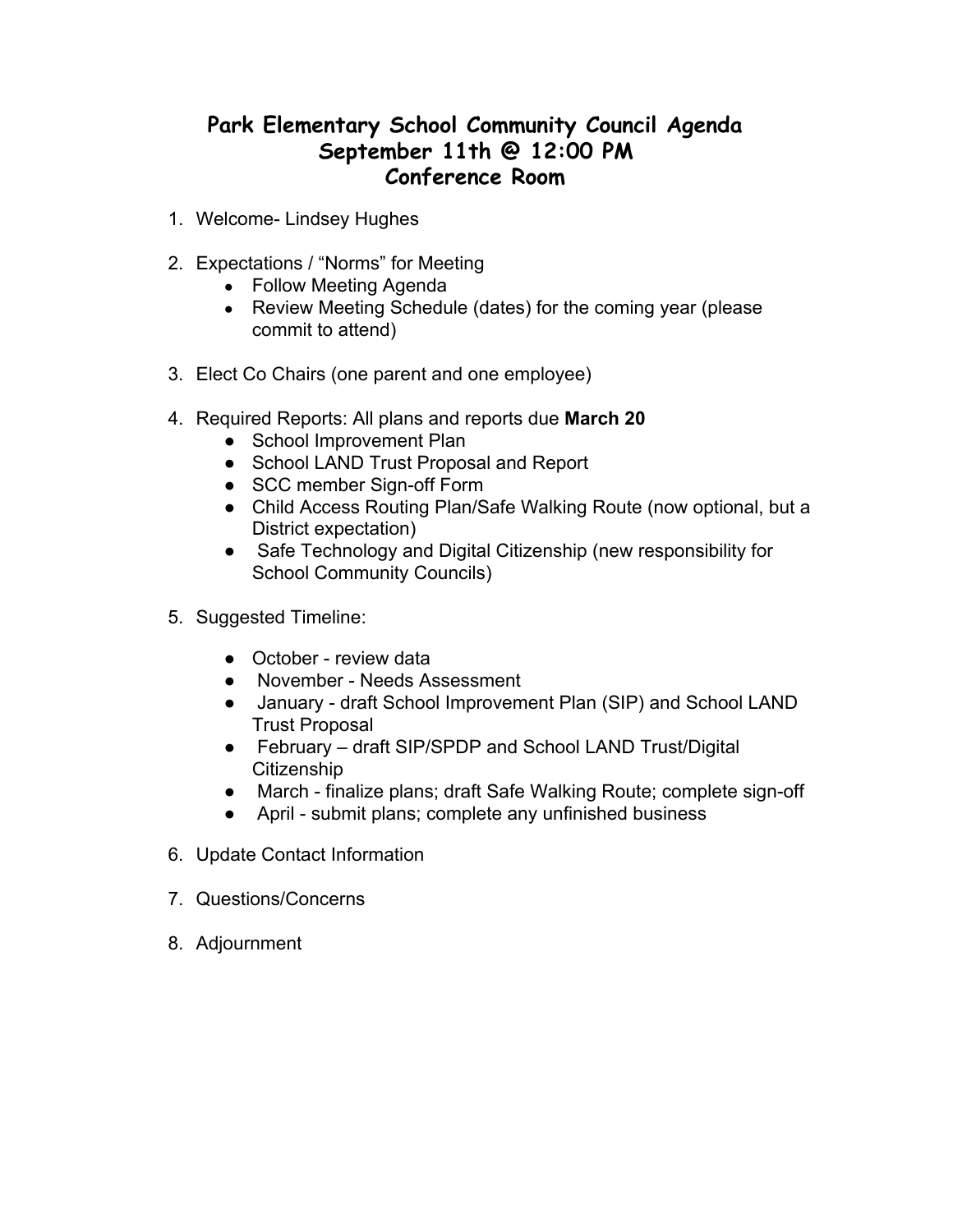## **Park Elementary School Community Council Agenda September 11th @ 12:00 PM Conference Room**

- 1. Welcome- Lindsey Hughes
- 2. Expectations / "Norms" for Meeting
	- Follow Meeting Agenda
	- Review Meeting Schedule (dates) for the coming year (please commit to attend)
- 3. Elect Co Chairs (one parent and one employee)
- 4. Required Reports: All plans and reports due **March 20**
	- **●** School Improvement Plan
	- **●** School LAND Trust Proposal and Report
	- **●** SCC member Sign-off Form
	- **●** Child Access Routing Plan/Safe Walking Route (now optional, but a District expectation)
	- **●** Safe Technology and Digital Citizenship (new responsibility for School Community Councils)
- 5. Suggested Timeline:
	- October review data
	- November Needs Assessment
	- January draft School Improvement Plan (SIP) and School LAND Trust Proposal
	- February draft SIP/SPDP and School LAND Trust/Digital **Citizenship**
	- March finalize plans; draft Safe Walking Route; complete sign-off
	- April submit plans; complete any unfinished business
- 6. Update Contact Information
- 7. Questions/Concerns
- 8. Adjournment